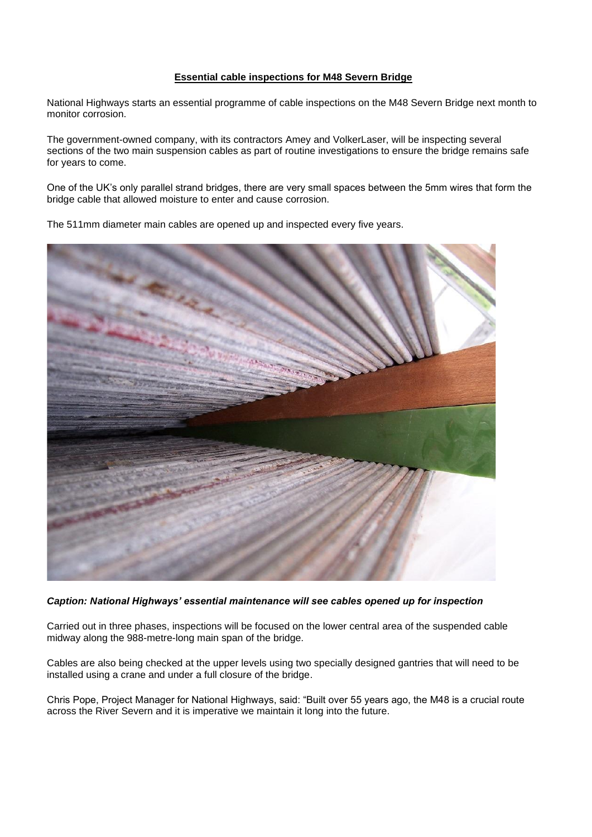## **Essential cable inspections for M48 Severn Bridge**

National Highways starts an essential programme of cable inspections on the M48 Severn Bridge next month to monitor corrosion.

The government-owned company, with its contractors Amey and VolkerLaser, will be inspecting several sections of the two main suspension cables as part of routine investigations to ensure the bridge remains safe for years to come.

One of the UK's only parallel strand bridges, there are very small spaces between the 5mm wires that form the bridge cable that allowed moisture to enter and cause corrosion.

The 511mm diameter main cables are opened up and inspected every five years.



## *Caption: National Highways' essential maintenance will see cables opened up for inspection*

Carried out in three phases, inspections will be focused on the lower central area of the suspended cable midway along the 988-metre-long main span of the bridge.

Cables are also being checked at the upper levels using two specially designed gantries that will need to be installed using a crane and under a full closure of the bridge.

Chris Pope, Project Manager for National Highways, said: "Built over 55 years ago, the M48 is a crucial route across the River Severn and it is imperative we maintain it long into the future.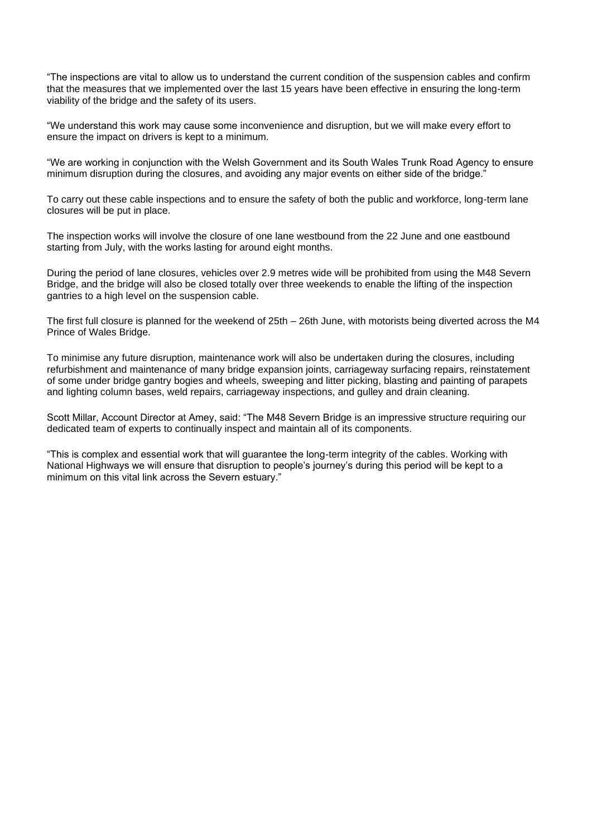"The inspections are vital to allow us to understand the current condition of the suspension cables and confirm that the measures that we implemented over the last 15 years have been effective in ensuring the long-term viability of the bridge and the safety of its users.

"We understand this work may cause some inconvenience and disruption, but we will make every effort to ensure the impact on drivers is kept to a minimum.

"We are working in conjunction with the Welsh Government and its South Wales Trunk Road Agency to ensure minimum disruption during the closures, and avoiding any major events on either side of the bridge."

To carry out these cable inspections and to ensure the safety of both the public and workforce, long-term lane closures will be put in place.

The inspection works will involve the closure of one lane westbound from the 22 June and one eastbound starting from July, with the works lasting for around eight months.

During the period of lane closures, vehicles over 2.9 metres wide will be prohibited from using the M48 Severn Bridge, and the bridge will also be closed totally over three weekends to enable the lifting of the inspection gantries to a high level on the suspension cable.

The first full closure is planned for the weekend of 25th – 26th June, with motorists being diverted across the M4 Prince of Wales Bridge.

To minimise any future disruption, maintenance work will also be undertaken during the closures, including refurbishment and maintenance of many bridge expansion joints, carriageway surfacing repairs, reinstatement of some under bridge gantry bogies and wheels, sweeping and litter picking, blasting and painting of parapets and lighting column bases, weld repairs, carriageway inspections, and gulley and drain cleaning.

Scott Millar, Account Director at Amey, said: "The M48 Severn Bridge is an impressive structure requiring our dedicated team of experts to continually inspect and maintain all of its components.

"This is complex and essential work that will guarantee the long-term integrity of the cables. Working with National Highways we will ensure that disruption to people's journey's during this period will be kept to a minimum on this vital link across the Severn estuary."